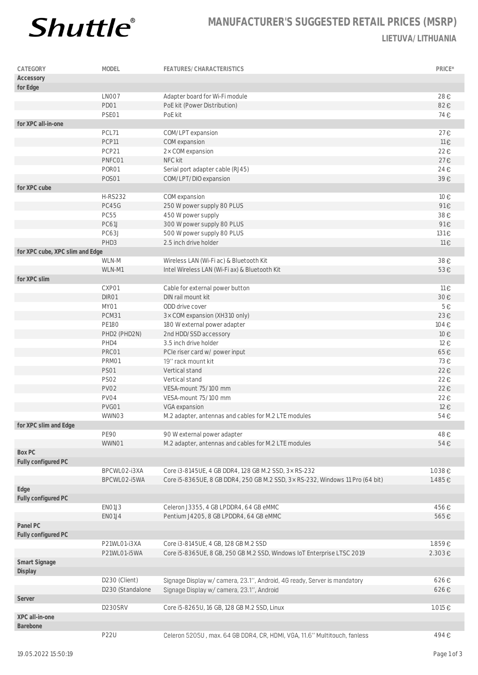

## **MANUFACTURER'S SUGGESTED RETAIL PRICES (MSRP) LIETUVA/LITHUANIA**

| CATEGORY                        | MODEL            | FEATURES/CHARACTERISTICS                                                      | PRICE* |
|---------------------------------|------------------|-------------------------------------------------------------------------------|--------|
| Accessory                       |                  |                                                                               |        |
| for Edge                        |                  |                                                                               |        |
|                                 | LNO07            | Adapter board for Wi-Fi module                                                | 28€    |
|                                 | PD01             | PoE kit (Power Distribution)                                                  | 82€    |
|                                 | PSE01            | PoE kit                                                                       | 74€    |
| for XPC all-in-one              |                  |                                                                               |        |
|                                 | PCL71            | COM/LPT expansion                                                             | 27€    |
|                                 | PCP11            | COM expansion                                                                 | 11€    |
|                                 | PCP21            | 2x COM expansion                                                              | 22€    |
|                                 | PNFC01           | NFC kit                                                                       | 27€    |
|                                 | PORO1            | Serial port adapter cable (RJ45)                                              | 24€    |
|                                 | <b>POSO1</b>     | COM/LPT/DIO expansion                                                         | 39€    |
| for XPC cube                    |                  |                                                                               |        |
|                                 | <b>H-RS232</b>   | COM expansion                                                                 | 10€    |
|                                 | PC45G            | 250 W power supply 80 PLUS                                                    | 91€    |
|                                 | <b>PC55</b>      | 450 W power supply                                                            | 38€    |
|                                 | <b>PC61J</b>     | 300 W power supply 80 PLUS                                                    | 91€    |
|                                 | PC63J            | 500 W power supply 80 PLUS                                                    | 131€   |
|                                 | PHD3             | 2.5 inch drive holder                                                         | 11€    |
| for XPC cube, XPC slim and Edge |                  |                                                                               |        |
|                                 | WLN-M            | Wireless LAN (Wi-Fi ac) & Bluetooth Kit                                       | 38€    |
|                                 | WLN-M1           | Intel Wireless LAN (Wi-Fi ax) & Bluetooth Kit                                 | 53€    |
| for XPC slim                    |                  |                                                                               |        |
|                                 | CXP01            | Cable for external power button                                               | 11€    |
|                                 | DIR01            | DIN rail mount kit                                                            | 30€    |
|                                 | MY01             | ODD drive cover                                                               | 5E     |
|                                 | PCM31            | 3× COM expansion (XH310 only)                                                 | 23€    |
|                                 | <b>PE180</b>     | 180 W external power adapter                                                  | 104€   |
|                                 | PHD2 (PHD2N)     | 2nd HDD/SSD accessory                                                         | 10€    |
|                                 | PHD4             | 3.5 inch drive holder                                                         | 12€    |
|                                 | PRC01            | PCIe riser card w/ power input                                                | 65€    |
|                                 | PRM01            | 19" rack mount kit                                                            | 73€    |
|                                 | <b>PS01</b>      |                                                                               |        |
|                                 | <b>PS02</b>      | Vertical stand                                                                | 22€    |
|                                 |                  | Vertical stand                                                                | 22€    |
|                                 | PV02             | VESA-mount 75/100 mm                                                          | 22€    |
|                                 | PV04             | VESA-mount 75/100 mm                                                          | 22€    |
|                                 | PVG01            | VGA expansion                                                                 | 12€    |
|                                 | WWN03            | M.2 adapter, antennas and cables for M.2 LTE modules                          | 54€    |
| for XPC slim and Edge           |                  |                                                                               |        |
|                                 | <b>PE90</b>      | 90 W external power adapter                                                   | 48€    |
|                                 | WWN01            | M.2 adapter, antennas and cables for M.2 LTE modules                          | 54€    |
| Box PC                          |                  |                                                                               |        |
| Fully configured PC             |                  |                                                                               |        |
|                                 | BPCWLO2-i3XA     | Core i3-8145UE, 4 GB DDR4, 128 GB M.2 SSD, 3x RS-232                          | 1.038€ |
|                                 | BPCWLO2-i5WA     | Core i5-8365UE, 8 GB DDR4, 250 GB M.2 SSD, 3x RS-232, Windows 11 Pro (64 bit) | 1.485€ |
| Edge                            |                  |                                                                               |        |
| Fully configured PC             |                  |                                                                               |        |
|                                 | EN01J3           | Celeron J3355, 4 GB LPDDR4, 64 GB eMMC                                        | 456€   |
|                                 | EN01J4           | Pentium J4205, 8 GB LPDDR4, 64 GB eMMC                                        | 565€   |
| Panel PC                        |                  |                                                                               |        |
| Fully configured PC             |                  |                                                                               |        |
|                                 | P21WL01-i3XA     | Core i3-8145UE, 4 GB, 128 GB M.2 SSD                                          | 1.859€ |
|                                 | P21WL01-i5WA     | Core i5-8365UE, 8 GB, 250 GB M.2 SSD, Windows IoT Enterprise LTSC 2019        | 2.303€ |
| Smart Signage<br>Display        |                  |                                                                               |        |
|                                 | D230 (Client)    | Signage Display w/ camera, 23.1", Android, 4G ready, Server is mandatory      | 626€   |
|                                 | D230 (Standalone | Signage Display w/ camera, 23.1", Android                                     | 626€   |
| Server                          |                  |                                                                               |        |
|                                 | D230SRV          | Core i5-8265U, 16 GB, 128 GB M.2 SSD, Linux                                   | 1.015€ |
| XPC all-in-one                  |                  |                                                                               |        |
| Barebone                        |                  |                                                                               |        |
|                                 | <b>P22U</b>      | Celeron 5205U, max. 64 GB DDR4, CR, HDMI, VGA, 11.6" Multitouch, fanless      | 494€   |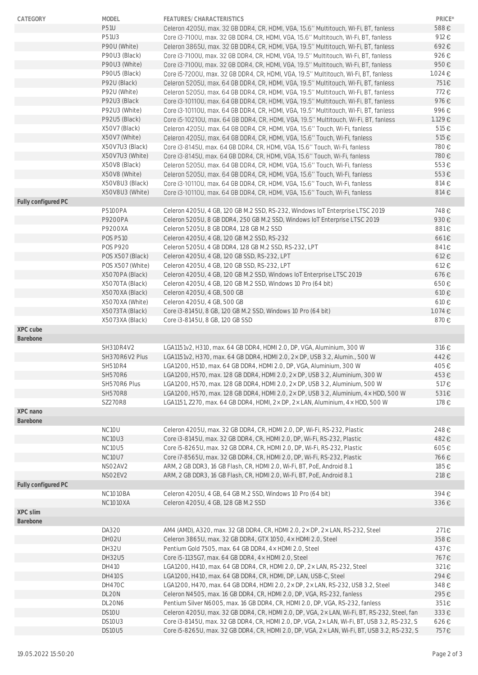| CATEGORY            | <b>MODEL</b>       | FEATURES/CHARACTERISTICS                                                                                                                                                                     | PRICE*       |
|---------------------|--------------------|----------------------------------------------------------------------------------------------------------------------------------------------------------------------------------------------|--------------|
|                     | <b>P51U</b>        | Celeron 4205U, max. 32 GB DDR4, CR, HDMI, VGA, 15.6" Multitouch, Wi-Fi, BT, fanless                                                                                                          | 588€         |
|                     | P51U3              | Core i3-7100U, max. 32 GB DDR4, CR, HDMI, VGA, 15.6" Multitouch, Wi-Fi, BT, fanless                                                                                                          | 912€         |
|                     | P90U (White)       | Celeron 3865U, max. 32 GB DDR4, CR, HDMI, VGA, 19.5" Multitouch, Wi-Fi, BT, fanless                                                                                                          | 692€         |
|                     | P90U3 (Black)      | Core i3-7100U, max. 32 GB DDR4, CR, HDMI, VGA, 19.5" Multitouch, Wi-Fi, BT, fanless                                                                                                          | 926€         |
|                     | P90U3 (White)      | Core i3-7100U, max. 32 GB DDR4, CR, HDMI, VGA, 19.5" Multitouch, Wi-Fi, BT, fanless                                                                                                          | 950€         |
|                     | P90U5 (Black)      | Core i5-7200U, max. 32 GB DDR4, CR, HDMI, VGA, 19.5" Multitouch, Wi-Fi, BT, fanless                                                                                                          | 1.024€       |
|                     | P92U (Black)       | Celeron 5205U, max. 64 GB DDR4, CR, HDMI, VGA, 19.5" Multitouch, Wi-Fi, BT, fanless                                                                                                          | 751€         |
|                     | P92U (White)       | Celeron 5205U, max. 64 GB DDR4, CR, HDMI, VGA, 19.5" Multitouch, Wi-Fi, BT, fanless                                                                                                          | 772€         |
|                     | P92U3 (Black       | Core i3-10110U, max. 64 GB DDR4, CR, HDMI, VGA, 19.5" Multitouch, Wi-Fi, BT, fanless                                                                                                         | 976€         |
|                     | P92U3 (White)      | Core i3-10110U, max. 64 GB DDR4, CR, HDMI, VGA, 19.5" Multitouch, Wi-Fi, BT, fanless                                                                                                         | 996€         |
|                     | P92U5 (Black)      | Core i5-10210U, max. 64 GB DDR4, CR, HDMI, VGA, 19.5" Multitouch, Wi-Fi, BT, fanless                                                                                                         | 1.129€       |
|                     | X50V7 (Black)      | Celeron 4205U, max. 64 GB DDR4, CR, HDMI, VGA, 15.6" Touch, Wi-Fi, fanless                                                                                                                   | 515€         |
|                     | X50V7 (White)      | Celeron 4205U, max. 64 GB DDR4, CR, HDMI, VGA, 15.6" Touch, Wi-Fi, fanless                                                                                                                   | 515€         |
|                     | X50V7U3 (Black)    | Core i3-8145U, max. 64 GB DDR4, CR, HDMI, VGA, 15.6" Touch, Wi-Fi, fanless                                                                                                                   | 780€         |
|                     | X50V7U3 (White)    | Core i3-8145U, max. 64 GB DDR4, CR, HDMI, VGA, 15.6" Touch, Wi-Fi, fanless                                                                                                                   | 780€         |
|                     | X50V8 (Black)      | Celeron 5205U, max. 64 GB DDR4, CR, HDMI, VGA, 15.6" Touch, Wi-Fi, fanless                                                                                                                   | 553€         |
|                     | X50V8 (White)      | Celeron 5205U, max. 64 GB DDR4, CR, HDMI, VGA, 15.6" Touch, Wi-Fi, fanless                                                                                                                   | 553€         |
|                     | X50V8U3 (Black)    | Core i3-10110U, max. 64 GB DDR4, CR, HDMI, VGA, 15.6" Touch, Wi-Fi, fanless                                                                                                                  | 814€         |
|                     | X50V8U3 (White)    | Core i3-10110U, max. 64 GB DDR4, CR, HDMI, VGA, 15.6" Touch, Wi-Fi, fanless                                                                                                                  | 814€         |
| Fully configured PC |                    |                                                                                                                                                                                              |              |
|                     | <b>P5100PA</b>     | Celeron 4205U, 4 GB, 120 GB M.2 SSD, RS-232, Windows IoT Enterprise LTSC 2019                                                                                                                | 748€         |
|                     | P9200PA            | Celeron 5205U, 8 GB DDR4, 250 GB M.2 SSD, Windows IoT Enterprise LTSC 2019                                                                                                                   | 930€         |
|                     | P9200XA            | Celeron 5205U, 8 GB DDR4, 128 GB M.2 SSD                                                                                                                                                     | 881€         |
|                     | <b>POS P510</b>    | Celeron 4205U, 4 GB, 120 GB M.2 SSD, RS-232                                                                                                                                                  | 661€         |
|                     | <b>POS P920</b>    | Celeron 5205U, 4 GB DDR4, 128 GB M.2 SSD, RS-232, LPT                                                                                                                                        | 841€         |
|                     | POS X507 (Black)   | Celeron 4205U, 4 GB, 120 GB SSD, RS-232, LPT                                                                                                                                                 | 612€         |
|                     | POS X507 (White)   | Celeron 4205U, 4 GB, 120 GB SSD, RS-232, LPT                                                                                                                                                 | 612€         |
|                     | X5070PA (Black)    | Celeron 4205U, 4 GB, 120 GB M.2 SSD, Windows IoT Enterprise LTSC 2019                                                                                                                        | 676€         |
|                     |                    |                                                                                                                                                                                              |              |
|                     | X5070TA (Black)    | Celeron 4205U, 4 GB, 120 GB M.2 SSD, Windows 10 Pro (64 bit)                                                                                                                                 | 650€         |
|                     | X5070XA (Black)    | Celeron 4205U, 4 GB, 500 GB                                                                                                                                                                  | 610€         |
|                     | X5070XA (White)    | Celeron 4205U, 4 GB, 500 GB                                                                                                                                                                  | 610€         |
|                     | X5073TA (Black)    | Core i3-8145U, 8 GB, 120 GB M.2 SSD, Windows 10 Pro (64 bit)                                                                                                                                 | 1.074€       |
|                     | X5073XA (Black)    | Core i3-8145U, 8 GB, 120 GB SSD                                                                                                                                                              | 870€         |
| XPC cube            |                    |                                                                                                                                                                                              |              |
| Barebone            | SH310R4V2          | LGA1151v2, H310, max. 64 GB DDR4, HDMI 2.0, DP, VGA, Aluminium, 300 W                                                                                                                        | 316€         |
|                     |                    |                                                                                                                                                                                              |              |
|                     | SH370R6V2 Plus     | LGA1151v2, H370, max. 64 GB DDR4, HDMI 2.0, 2× DP, USB 3.2, Alumin., 500 W                                                                                                                   | 442€         |
|                     | <b>SH510R4</b>     | LGA1200, H510, max. 64 GB DDR4, HDMI 2.0, DP, VGA, Aluminium, 300 W                                                                                                                          | 405€         |
|                     | <b>SH570R6</b>     | LGA1200, H570, max. 128 GB DDR4, HDMI 2.0, 2× DP, USB 3.2, Aluminium, 300 W                                                                                                                  | 453€         |
|                     | SH570R6 Plus       | LGA1200, H570, max. 128 GB DDR4, HDMI 2.0, 2x DP, USB 3.2, Aluminium, 500 W                                                                                                                  | 517€         |
|                     | <b>SH570R8</b>     | LGA1200, H570, max. 128 GB DDR4, HDMI 2.0, 2× DP, USB 3.2, Aluminium, 4× HDD, 500 W                                                                                                          | 531€         |
|                     | <b>SZ270R8</b>     | LGA1151, Z270, max. 64 GB DDR4, HDMI, 2× DP, 2× LAN, Aluminium, 4× HDD, 500 W                                                                                                                | 178€         |
| XPC nano            |                    |                                                                                                                                                                                              |              |
| Barebone            |                    |                                                                                                                                                                                              |              |
|                     | NC <sub>10</sub> U | Celeron 4205U, max. 32 GB DDR4, CR, HDMI 2.0, DP, Wi-Fi, RS-232, Plastic                                                                                                                     | 248€         |
|                     | NC10U3             | Core i3-8145U, max. 32 GB DDR4, CR, HDMI 2.0, DP, Wi-Fi, RS-232, Plastic                                                                                                                     | 482€         |
|                     | NC10U5             | Core i5-8265U, max. 32 GB DDR4, CR, HDMI 2.0, DP, Wi-Fi, RS-232, Plastic                                                                                                                     | 605€         |
|                     | <b>NC10U7</b>      | Core i7-8565U, max. 32 GB DDR4, CR, HDMI 2.0, DP, Wi-Fi, RS-232, Plastic                                                                                                                     | 766€         |
|                     | NSO2AV2            | ARM, 2 GB DDR3, 16 GB Flash, CR, HDMI 2.0, Wi-Fi, BT, PoE, Android 8.1                                                                                                                       | 185€         |
|                     | NSO2EV2            | ARM, 2 GB DDR3, 16 GB Flash, CR, HDMI 2.0, Wi-Fi, BT, PoE, Android 8.1                                                                                                                       | 218€         |
| Fully configured PC |                    |                                                                                                                                                                                              |              |
|                     | NC1010BA           | Celeron 4205U, 4 GB, 64 GB M.2 SSD, Windows 10 Pro (64 bit)                                                                                                                                  | 394€         |
|                     | <b>NC1010XA</b>    | Celeron 4205U, 4 GB, 128 GB M.2 SSD                                                                                                                                                          | 336€         |
| XPC slim            |                    |                                                                                                                                                                                              |              |
| Barebone            |                    |                                                                                                                                                                                              |              |
|                     | DA320              | AM4 (AMD), A320, max. 32 GB DDR4, CR, HDMI 2.0, 2× DP, 2× LAN, RS-232, Steel                                                                                                                 | 271€         |
|                     | DHO <sub>2U</sub>  | Celeron 3865U, max. 32 GB DDR4, GTX 1050, 4× HDMI 2.0, Steel                                                                                                                                 | 358€         |
|                     | DH32U              | Pentium Gold 7505, max. 64 GB DDR4, 4× HDMI 2.0, Steel                                                                                                                                       | 437€         |
|                     |                    | Core i5-1135G7, max. 64 GB DDR4, 4x HDMI 2.0, Steel                                                                                                                                          | 767€         |
|                     | DH32U5             |                                                                                                                                                                                              |              |
|                     | DH410              | LGA1200, H410, max. 64 GB DDR4, CR, HDMI 2.0, DP, 2× LAN, RS-232, Steel                                                                                                                      | 321€         |
|                     | <b>DH410S</b>      | LGA1200, H410, max. 64 GB DDR4, CR, HDMI, DP, LAN, USB-C, Steel                                                                                                                              | 294€         |
|                     | <b>DH470C</b>      | LGA1200, H470, max. 64 GB DDR4, HDMI 2.0, 2x DP, 2x LAN, RS-232, USB 3.2, Steel                                                                                                              | 348€         |
|                     | DL20N              | Celeron N4505, max. 16 GB DDR4, CR, HDMI 2.0, DP, VGA, RS-232, fanless                                                                                                                       | 295€         |
|                     | DL20N6             | Pentium Silver N6005, max. 16 GB DDR4, CR, HDMI 2.0, DP, VGA, RS-232, fanless                                                                                                                | 351€         |
|                     | DS10U              | Celeron 4205U, max. 32 GB DDR4, CR, HDMI 2.0, DP, VGA, 2× LAN, Wi-Fi, BT, RS-232, Steel, fan                                                                                                 | 333€         |
|                     | DS10U3<br>DS10U5   | Core i3-8145U, max. 32 GB DDR4, CR, HDMI 2.0, DP, VGA, 2x LAN, Wi-Fi, BT, USB 3.2, RS-232, S<br>Core i5-8265U, max. 32 GB DDR4, CR, HDMI 2.0, DP, VGA, 2x LAN, Wi-Fi, BT, USB 3.2, RS-232, S | 626€<br>757€ |